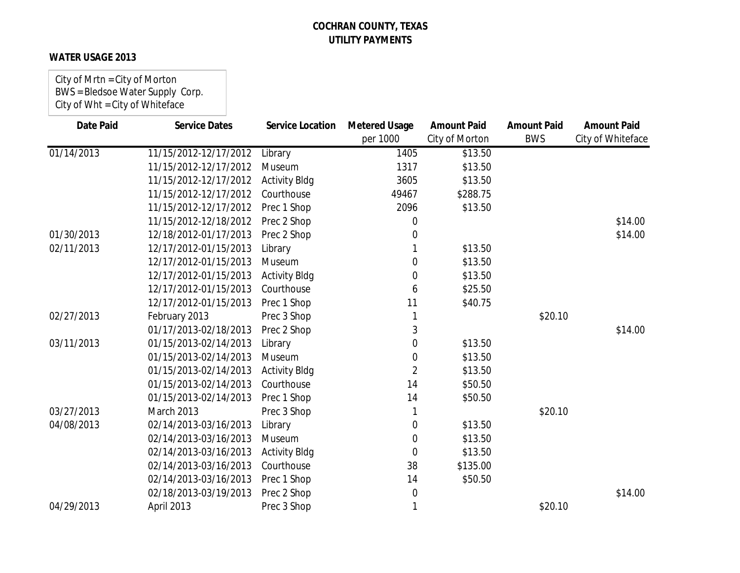### **WATER USAGE 2013**

City of Mrtn = City of Morton BWS = Bledsoe Water Supply Corp. City of Wht = City of Whiteface

| <b>Date Paid</b> | <b>Service Dates</b>  | <b>Service Location</b> | <b>Metered Usage</b> | <b>Amount Paid</b> | <b>Amount Paid</b> | <b>Amount Paid</b> |
|------------------|-----------------------|-------------------------|----------------------|--------------------|--------------------|--------------------|
|                  |                       |                         | per 1000             | City of Morton     | <b>BWS</b>         | City of Whiteface  |
| 01/14/2013       | 11/15/2012-12/17/2012 | Library                 | 1405                 | \$13.50            |                    |                    |
|                  | 11/15/2012-12/17/2012 | Museum                  | 1317                 | \$13.50            |                    |                    |
|                  | 11/15/2012-12/17/2012 | <b>Activity Bldg</b>    | 3605                 | \$13.50            |                    |                    |
|                  | 11/15/2012-12/17/2012 | Courthouse              | 49467                | \$288.75           |                    |                    |
|                  | 11/15/2012-12/17/2012 | Prec 1 Shop             | 2096                 | \$13.50            |                    |                    |
|                  | 11/15/2012-12/18/2012 | Prec 2 Shop             | 0                    |                    |                    | \$14.00            |
| 01/30/2013       | 12/18/2012-01/17/2013 | Prec 2 Shop             | 0                    |                    |                    | \$14.00            |
| 02/11/2013       | 12/17/2012-01/15/2013 | Library                 |                      | \$13.50            |                    |                    |
|                  | 12/17/2012-01/15/2013 | Museum                  | 0                    | \$13.50            |                    |                    |
|                  | 12/17/2012-01/15/2013 | <b>Activity Bldg</b>    | 0                    | \$13.50            |                    |                    |
|                  | 12/17/2012-01/15/2013 | Courthouse              | 6                    | \$25.50            |                    |                    |
|                  | 12/17/2012-01/15/2013 | Prec 1 Shop             | 11                   | \$40.75            |                    |                    |
| 02/27/2013       | February 2013         | Prec 3 Shop             |                      |                    | \$20.10            |                    |
|                  | 01/17/2013-02/18/2013 | Prec 2 Shop             | 3                    |                    |                    | \$14.00            |
| 03/11/2013       | 01/15/2013-02/14/2013 | Library                 | 0                    | \$13.50            |                    |                    |
|                  | 01/15/2013-02/14/2013 | Museum                  | 0                    | \$13.50            |                    |                    |
|                  | 01/15/2013-02/14/2013 | <b>Activity Bldg</b>    | $\overline{2}$       | \$13.50            |                    |                    |
|                  | 01/15/2013-02/14/2013 | Courthouse              | 14                   | \$50.50            |                    |                    |
|                  | 01/15/2013-02/14/2013 | Prec 1 Shop             | 14                   | \$50.50            |                    |                    |
| 03/27/2013       | March 2013            | Prec 3 Shop             |                      |                    | \$20.10            |                    |
| 04/08/2013       | 02/14/2013-03/16/2013 | Library                 | 0                    | \$13.50            |                    |                    |
|                  | 02/14/2013-03/16/2013 | Museum                  | 0                    | \$13.50            |                    |                    |
|                  | 02/14/2013-03/16/2013 | <b>Activity Bldg</b>    | 0                    | \$13.50            |                    |                    |
|                  | 02/14/2013-03/16/2013 | Courthouse              | 38                   | \$135.00           |                    |                    |
|                  | 02/14/2013-03/16/2013 | Prec 1 Shop             | 14                   | \$50.50            |                    |                    |
|                  | 02/18/2013-03/19/2013 | Prec 2 Shop             | 0                    |                    |                    | \$14.00            |
| 04/29/2013       | April 2013            | Prec 3 Shop             | 1                    |                    | \$20.10            |                    |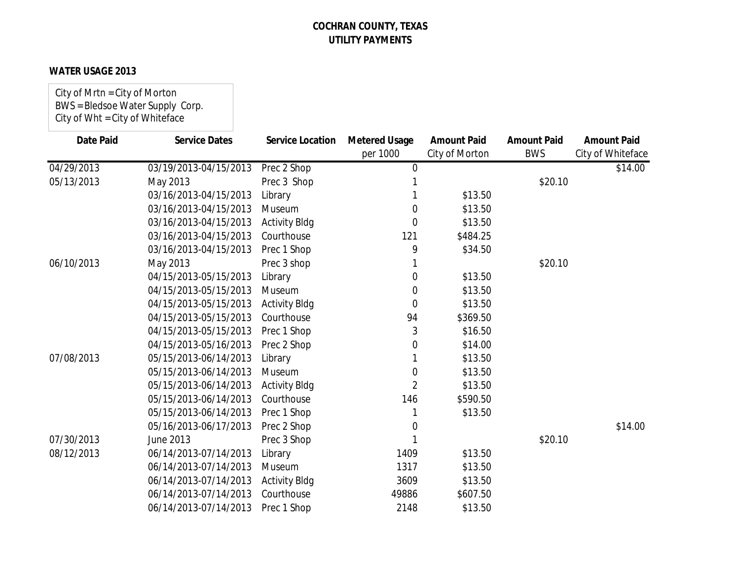#### **WATER USAGE 2013**

City of Mrtn = City of Morton BWS = Bledsoe Water Supply Corp. City of Wht = City of Whiteface

| <b>Date Paid</b> | <b>Service Dates</b>  | Service Location     | <b>Metered Usage</b> | <b>Amount Paid</b> | <b>Amount Paid</b> | <b>Amount Paid</b> |
|------------------|-----------------------|----------------------|----------------------|--------------------|--------------------|--------------------|
|                  |                       |                      | per 1000             | City of Morton     | <b>BWS</b>         | City of Whiteface  |
| 04/29/2013       | 03/19/2013-04/15/2013 | Prec 2 Shop          | $\mathbf 0$          |                    |                    | \$14.00            |
| 05/13/2013       | May 2013              | Prec 3 Shop          |                      |                    | \$20.10            |                    |
|                  | 03/16/2013-04/15/2013 | Library              |                      | \$13.50            |                    |                    |
|                  | 03/16/2013-04/15/2013 | Museum               | 0                    | \$13.50            |                    |                    |
|                  | 03/16/2013-04/15/2013 | <b>Activity Bldg</b> | 0                    | \$13.50            |                    |                    |
|                  | 03/16/2013-04/15/2013 | Courthouse           | 121                  | \$484.25           |                    |                    |
|                  | 03/16/2013-04/15/2013 | Prec 1 Shop          | 9                    | \$34.50            |                    |                    |
| 06/10/2013       | May 2013              | Prec 3 shop          |                      |                    | \$20.10            |                    |
|                  | 04/15/2013-05/15/2013 | Library              | 0                    | \$13.50            |                    |                    |
|                  | 04/15/2013-05/15/2013 | Museum               | 0                    | \$13.50            |                    |                    |
|                  | 04/15/2013-05/15/2013 | <b>Activity Bldg</b> | $\Omega$             | \$13.50            |                    |                    |
|                  | 04/15/2013-05/15/2013 | Courthouse           | 94                   | \$369.50           |                    |                    |
|                  | 04/15/2013-05/15/2013 | Prec 1 Shop          | 3                    | \$16.50            |                    |                    |
|                  | 04/15/2013-05/16/2013 | Prec 2 Shop          | 0                    | \$14.00            |                    |                    |
| 07/08/2013       | 05/15/2013-06/14/2013 | Library              |                      | \$13.50            |                    |                    |
|                  | 05/15/2013-06/14/2013 | Museum               | 0                    | \$13.50            |                    |                    |
|                  | 05/15/2013-06/14/2013 | <b>Activity Bldg</b> | 2                    | \$13.50            |                    |                    |
|                  | 05/15/2013-06/14/2013 | Courthouse           | 146                  | \$590.50           |                    |                    |
|                  | 05/15/2013-06/14/2013 | Prec 1 Shop          |                      | \$13.50            |                    |                    |
|                  | 05/16/2013-06/17/2013 | Prec 2 Shop          | 0                    |                    |                    | \$14.00            |
| 07/30/2013       | June 2013             | Prec 3 Shop          |                      |                    | \$20.10            |                    |
| 08/12/2013       | 06/14/2013-07/14/2013 | Library              | 1409                 | \$13.50            |                    |                    |
|                  | 06/14/2013-07/14/2013 | Museum               | 1317                 | \$13.50            |                    |                    |
|                  | 06/14/2013-07/14/2013 | <b>Activity Bldg</b> | 3609                 | \$13.50            |                    |                    |
|                  | 06/14/2013-07/14/2013 | Courthouse           | 49886                | \$607.50           |                    |                    |
|                  | 06/14/2013-07/14/2013 | Prec 1 Shop          | 2148                 | \$13.50            |                    |                    |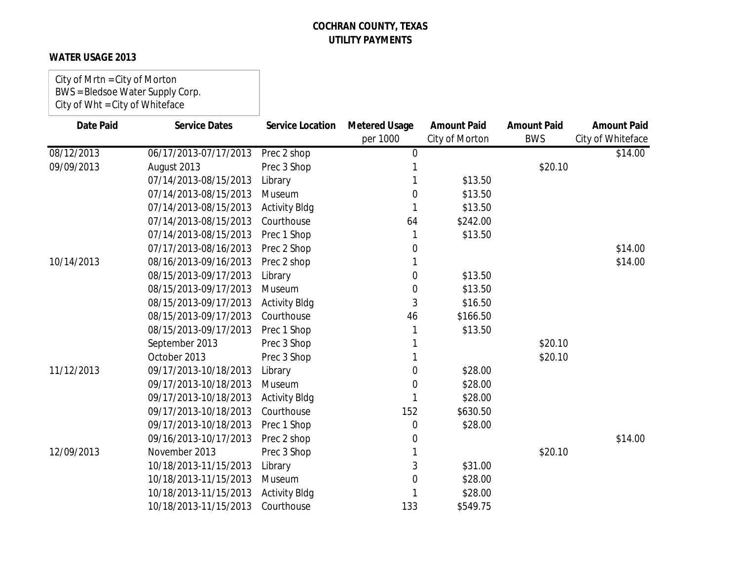### **WATER USAGE 2013**

City of Mrtn = City of Morton BWS = Bledsoe Water Supply Corp. City of Wht = City of Whiteface

| <b>Date Paid</b> | <b>Service Dates</b>  | <b>Service Location</b> | <b>Metered Usage</b> | <b>Amount Paid</b> | <b>Amount Paid</b> | <b>Amount Paid</b> |
|------------------|-----------------------|-------------------------|----------------------|--------------------|--------------------|--------------------|
|                  |                       |                         | per 1000             | City of Morton     | <b>BWS</b>         | City of Whiteface  |
| 08/12/2013       | 06/17/2013-07/17/2013 | Prec 2 shop             | $\mathbf 0$          |                    |                    | \$14.00            |
| 09/09/2013       | August 2013           | Prec 3 Shop             |                      |                    | \$20.10            |                    |
|                  | 07/14/2013-08/15/2013 | Library                 |                      | \$13.50            |                    |                    |
|                  | 07/14/2013-08/15/2013 | Museum                  | 0                    | \$13.50            |                    |                    |
|                  | 07/14/2013-08/15/2013 | <b>Activity Bldg</b>    |                      | \$13.50            |                    |                    |
|                  | 07/14/2013-08/15/2013 | Courthouse              | 64                   | \$242.00           |                    |                    |
|                  | 07/14/2013-08/15/2013 | Prec 1 Shop             |                      | \$13.50            |                    |                    |
|                  | 07/17/2013-08/16/2013 | Prec 2 Shop             | 0                    |                    |                    | \$14.00            |
| 10/14/2013       | 08/16/2013-09/16/2013 | Prec 2 shop             |                      |                    |                    | \$14.00            |
|                  | 08/15/2013-09/17/2013 | Library                 | 0                    | \$13.50            |                    |                    |
|                  | 08/15/2013-09/17/2013 | Museum                  | 0                    | \$13.50            |                    |                    |
|                  | 08/15/2013-09/17/2013 | <b>Activity Bldg</b>    | 3                    | \$16.50            |                    |                    |
|                  | 08/15/2013-09/17/2013 | Courthouse              | 46                   | \$166.50           |                    |                    |
|                  | 08/15/2013-09/17/2013 | Prec 1 Shop             |                      | \$13.50            |                    |                    |
|                  | September 2013        | Prec 3 Shop             |                      |                    | \$20.10            |                    |
|                  | October 2013          | Prec 3 Shop             |                      |                    | \$20.10            |                    |
| 11/12/2013       | 09/17/2013-10/18/2013 | Library                 | 0                    | \$28.00            |                    |                    |
|                  | 09/17/2013-10/18/2013 | Museum                  | 0                    | \$28.00            |                    |                    |
|                  | 09/17/2013-10/18/2013 | <b>Activity Bldg</b>    |                      | \$28.00            |                    |                    |
|                  | 09/17/2013-10/18/2013 | Courthouse              | 152                  | \$630.50           |                    |                    |
|                  | 09/17/2013-10/18/2013 | Prec 1 Shop             | 0                    | \$28.00            |                    |                    |
|                  | 09/16/2013-10/17/2013 | Prec 2 shop             | 0                    |                    |                    | \$14.00            |
| 12/09/2013       | November 2013         | Prec 3 Shop             |                      |                    | \$20.10            |                    |
|                  | 10/18/2013-11/15/2013 | Library                 | 3                    | \$31.00            |                    |                    |
|                  | 10/18/2013-11/15/2013 | Museum                  | 0                    | \$28.00            |                    |                    |
|                  | 10/18/2013-11/15/2013 | <b>Activity Bldg</b>    |                      | \$28.00            |                    |                    |
|                  | 10/18/2013-11/15/2013 | Courthouse              | 133                  | \$549.75           |                    |                    |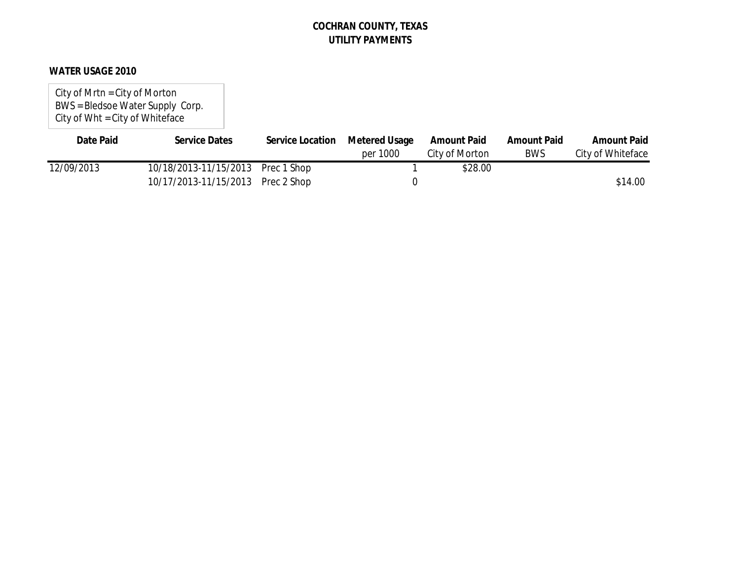#### **WATER USAGE 2010**

City of Mrtn = City of Morton BWS = Bledsoe Water Supply Corp. City of Wht = City of Whiteface

| Date Paid  | <b>Service Dates</b>              | Service Location | Metered Usage | <b>Amount Paid</b> | <b>Amount Paid</b> | <b>Amount Paid</b> |
|------------|-----------------------------------|------------------|---------------|--------------------|--------------------|--------------------|
|            |                                   |                  | per 1000      | City of Morton     | <b>BWS</b>         | City of Whiteface  |
| 12/09/2013 | 10/18/2013-11/15/2013 Prec 1 Shop |                  |               | \$28.00            |                    |                    |
|            | 10/17/2013-11/15/2013 Prec 2 Shop |                  |               |                    |                    | \$14.00            |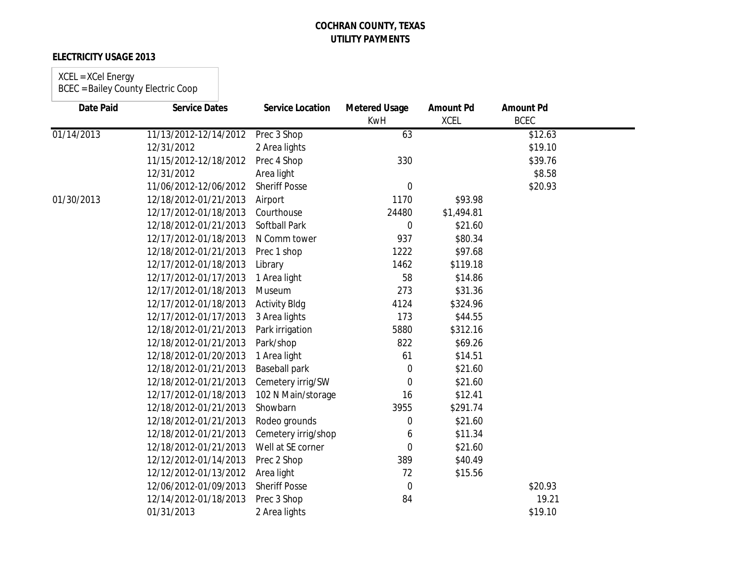### **ELECTRICITY USAGE 2013**

#### XCEL = XCel Energy BCEC = Bailey County Electric Coop

| <b>Date Paid</b> | <b>Service Dates</b>  | <b>Service Location</b> | <b>Metered Usage</b><br><b>KwH</b> | <b>Amount Pd</b><br><b>XCEL</b> | <b>Amount Pd</b><br><b>BCEC</b> |  |
|------------------|-----------------------|-------------------------|------------------------------------|---------------------------------|---------------------------------|--|
| 01/14/2013       | 11/13/2012-12/14/2012 | Prec 3 Shop             | 63                                 |                                 | \$12.63                         |  |
|                  | 12/31/2012            | 2 Area lights           |                                    |                                 | \$19.10                         |  |
|                  | 11/15/2012-12/18/2012 | Prec 4 Shop             | 330                                |                                 | \$39.76                         |  |
|                  | 12/31/2012            | Area light              |                                    |                                 | \$8.58                          |  |
|                  | 11/06/2012-12/06/2012 | <b>Sheriff Posse</b>    | $\overline{0}$                     |                                 | \$20.93                         |  |
| 01/30/2013       | 12/18/2012-01/21/2013 | Airport                 | 1170                               | \$93.98                         |                                 |  |
|                  | 12/17/2012-01/18/2013 | Courthouse              | 24480                              | \$1,494.81                      |                                 |  |
|                  | 12/18/2012-01/21/2013 | <b>Softball Park</b>    | $\overline{0}$                     | \$21.60                         |                                 |  |
|                  | 12/17/2012-01/18/2013 | N Comm tower            | 937                                | \$80.34                         |                                 |  |
|                  | 12/18/2012-01/21/2013 | Prec 1 shop             | 1222                               | \$97.68                         |                                 |  |
|                  | 12/17/2012-01/18/2013 | Library                 | 1462                               | \$119.18                        |                                 |  |
|                  | 12/17/2012-01/17/2013 | 1 Area light            | 58                                 | \$14.86                         |                                 |  |
|                  | 12/17/2012-01/18/2013 | Museum                  | 273                                | \$31.36                         |                                 |  |
|                  | 12/17/2012-01/18/2013 | <b>Activity Bldg</b>    | 4124                               | \$324.96                        |                                 |  |
|                  | 12/17/2012-01/17/2013 | 3 Area lights           | 173                                | \$44.55                         |                                 |  |
|                  | 12/18/2012-01/21/2013 | Park irrigation         | 5880                               | \$312.16                        |                                 |  |
|                  | 12/18/2012-01/21/2013 | Park/shop               | 822                                | \$69.26                         |                                 |  |
|                  | 12/18/2012-01/20/2013 | 1 Area light            | 61                                 | \$14.51                         |                                 |  |
|                  | 12/18/2012-01/21/2013 | Baseball park           | $\mathbf 0$                        | \$21.60                         |                                 |  |
|                  | 12/18/2012-01/21/2013 | Cemetery irrig/SW       | $\Omega$                           | \$21.60                         |                                 |  |
|                  | 12/17/2012-01/18/2013 | 102 N Main/storage      | 16                                 | \$12.41                         |                                 |  |
|                  | 12/18/2012-01/21/2013 | Showbarn                | 3955                               | \$291.74                        |                                 |  |
|                  | 12/18/2012-01/21/2013 | Rodeo grounds           | $\mathbf 0$                        | \$21.60                         |                                 |  |
|                  | 12/18/2012-01/21/2013 | Cemetery irrig/shop     | 6                                  | \$11.34                         |                                 |  |
|                  | 12/18/2012-01/21/2013 | Well at SE corner       | $\overline{0}$                     | \$21.60                         |                                 |  |
|                  | 12/12/2012-01/14/2013 | Prec 2 Shop             | 389                                | \$40.49                         |                                 |  |
|                  | 12/12/2012-01/13/2012 | Area light              | 72                                 | \$15.56                         |                                 |  |
|                  | 12/06/2012-01/09/2013 | <b>Sheriff Posse</b>    | 0                                  |                                 | \$20.93                         |  |
|                  | 12/14/2012-01/18/2013 | Prec 3 Shop             | 84                                 |                                 | 19.21                           |  |
|                  | 01/31/2013            | 2 Area lights           |                                    |                                 | \$19.10                         |  |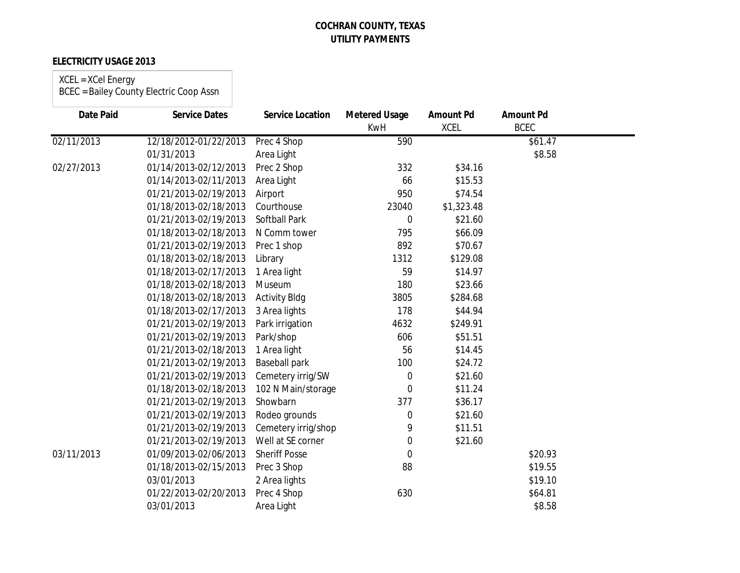#### **ELECTRICITY USAGE 2013**

#### XCEL = XCel Energy

| <b>Date Paid</b> | <b>Service Dates</b>  | <b>Service Location</b> | <b>Metered Usage</b><br><b>KwH</b> | <b>Amount Pd</b><br><b>XCEL</b> | <b>Amount Pd</b><br><b>BCEC</b> |  |
|------------------|-----------------------|-------------------------|------------------------------------|---------------------------------|---------------------------------|--|
|                  |                       |                         |                                    |                                 |                                 |  |
| 02/11/2013       | 12/18/2012-01/22/2013 | Prec 4 Shop             | 590                                |                                 | $\overline{$}61.47$             |  |
|                  | 01/31/2013            | Area Light              |                                    |                                 | \$8.58                          |  |
| 02/27/2013       | 01/14/2013-02/12/2013 | Prec 2 Shop             | 332                                | \$34.16                         |                                 |  |
|                  | 01/14/2013-02/11/2013 | Area Light              | 66                                 | \$15.53                         |                                 |  |
|                  | 01/21/2013-02/19/2013 | Airport                 | 950                                | \$74.54                         |                                 |  |
|                  | 01/18/2013-02/18/2013 | Courthouse              | 23040                              | \$1,323.48                      |                                 |  |
|                  | 01/21/2013-02/19/2013 | <b>Softball Park</b>    | 0                                  | \$21.60                         |                                 |  |
|                  | 01/18/2013-02/18/2013 | N Comm tower            | 795                                | \$66.09                         |                                 |  |
|                  | 01/21/2013-02/19/2013 | Prec 1 shop             | 892                                | \$70.67                         |                                 |  |
|                  | 01/18/2013-02/18/2013 | Library                 | 1312                               | \$129.08                        |                                 |  |
|                  | 01/18/2013-02/17/2013 | 1 Area light            | 59                                 | \$14.97                         |                                 |  |
|                  | 01/18/2013-02/18/2013 | Museum                  | 180                                | \$23.66                         |                                 |  |
|                  | 01/18/2013-02/18/2013 | <b>Activity Bldg</b>    | 3805                               | \$284.68                        |                                 |  |
|                  | 01/18/2013-02/17/2013 | 3 Area lights           | 178                                | \$44.94                         |                                 |  |
|                  | 01/21/2013-02/19/2013 | Park irrigation         | 4632                               | \$249.91                        |                                 |  |
|                  | 01/21/2013-02/19/2013 | Park/shop               | 606                                | \$51.51                         |                                 |  |
|                  | 01/21/2013-02/18/2013 | 1 Area light            | 56                                 | \$14.45                         |                                 |  |
|                  | 01/21/2013-02/19/2013 | <b>Baseball park</b>    | 100                                | \$24.72                         |                                 |  |
|                  | 01/21/2013-02/19/2013 | Cemetery irrig/SW       | 0                                  | \$21.60                         |                                 |  |
|                  | 01/18/2013-02/18/2013 | 102 N Main/storage      | 0                                  | \$11.24                         |                                 |  |
|                  | 01/21/2013-02/19/2013 | Showbarn                | 377                                | \$36.17                         |                                 |  |
|                  | 01/21/2013-02/19/2013 | Rodeo grounds           | 0                                  | \$21.60                         |                                 |  |
|                  | 01/21/2013-02/19/2013 | Cemetery irrig/shop     | 9                                  | \$11.51                         |                                 |  |
|                  | 01/21/2013-02/19/2013 | Well at SE corner       | 0                                  | \$21.60                         |                                 |  |
| 03/11/2013       | 01/09/2013-02/06/2013 | <b>Sheriff Posse</b>    | 0                                  |                                 | \$20.93                         |  |
|                  | 01/18/2013-02/15/2013 | Prec 3 Shop             | 88                                 |                                 | \$19.55                         |  |
|                  | 03/01/2013            | 2 Area lights           |                                    |                                 | \$19.10                         |  |
|                  | 01/22/2013-02/20/2013 | Prec 4 Shop             | 630                                |                                 | \$64.81                         |  |
|                  | 03/01/2013            | Area Light              |                                    |                                 | \$8.58                          |  |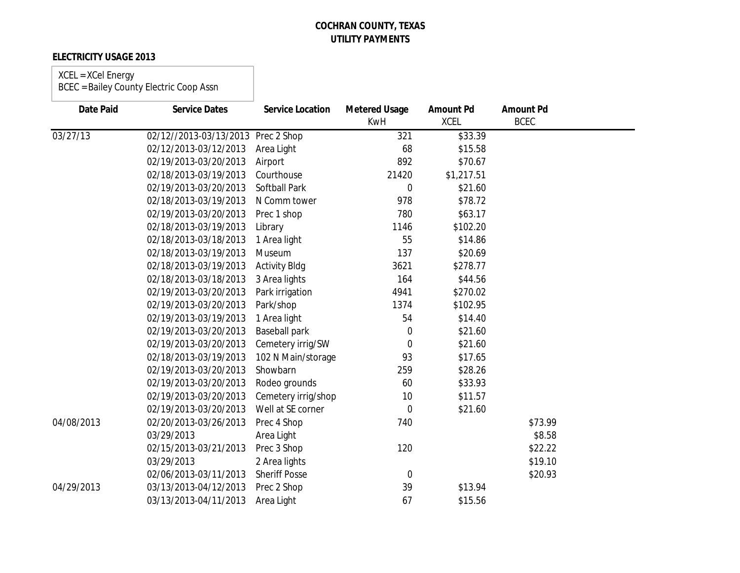### **ELECTRICITY USAGE 2013**

# XCEL = XCel Energy

| <b>Date Paid</b> | <b>Service Dates</b>               | <b>Service Location</b> | <b>Metered Usage</b><br>KwH | <b>Amount Pd</b><br><b>XCEL</b> | <b>Amount Pd</b><br><b>BCEC</b> |  |
|------------------|------------------------------------|-------------------------|-----------------------------|---------------------------------|---------------------------------|--|
| 03/27/13         | 02/12//2013-03/13/2013 Prec 2 Shop |                         | 321                         | \$33.39                         |                                 |  |
|                  | 02/12/2013-03/12/2013              | Area Light              | 68                          | \$15.58                         |                                 |  |
|                  | 02/19/2013-03/20/2013              | Airport                 | 892                         | \$70.67                         |                                 |  |
|                  | 02/18/2013-03/19/2013              | Courthouse              | 21420                       | \$1,217.51                      |                                 |  |
|                  | 02/19/2013-03/20/2013              | Softball Park           | 0                           | \$21.60                         |                                 |  |
|                  | 02/18/2013-03/19/2013              | N Comm tower            | 978                         | \$78.72                         |                                 |  |
|                  | 02/19/2013-03/20/2013              | Prec 1 shop             | 780                         | \$63.17                         |                                 |  |
|                  | 02/18/2013-03/19/2013              | Library                 | 1146                        | \$102.20                        |                                 |  |
|                  | 02/18/2013-03/18/2013              | 1 Area light            | 55                          | \$14.86                         |                                 |  |
|                  | 02/18/2013-03/19/2013              | Museum                  | 137                         | \$20.69                         |                                 |  |
|                  | 02/18/2013-03/19/2013              | <b>Activity Bldg</b>    | 3621                        | \$278.77                        |                                 |  |
|                  | 02/18/2013-03/18/2013              | 3 Area lights           | 164                         | \$44.56                         |                                 |  |
|                  | 02/19/2013-03/20/2013              | Park irrigation         | 4941                        | \$270.02                        |                                 |  |
|                  | 02/19/2013-03/20/2013              | Park/shop               | 1374                        | \$102.95                        |                                 |  |
|                  | 02/19/2013-03/19/2013              | 1 Area light            | 54                          | \$14.40                         |                                 |  |
|                  | 02/19/2013-03/20/2013              | <b>Baseball park</b>    | 0                           | \$21.60                         |                                 |  |
|                  | 02/19/2013-03/20/2013              | Cemetery irrig/SW       | $\overline{0}$              | \$21.60                         |                                 |  |
|                  | 02/18/2013-03/19/2013              | 102 N Main/storage      | 93                          | \$17.65                         |                                 |  |
|                  | 02/19/2013-03/20/2013              | Showbarn                | 259                         | \$28.26                         |                                 |  |
|                  | 02/19/2013-03/20/2013              | Rodeo grounds           | 60                          | \$33.93                         |                                 |  |
|                  | 02/19/2013-03/20/2013              | Cemetery irrig/shop     | 10                          | \$11.57                         |                                 |  |
|                  | 02/19/2013-03/20/2013              | Well at SE corner       | 0                           | \$21.60                         |                                 |  |
| 04/08/2013       | 02/20/2013-03/26/2013              | Prec 4 Shop             | 740                         |                                 | \$73.99                         |  |
|                  | 03/29/2013                         | Area Light              |                             |                                 | \$8.58                          |  |
|                  | 02/15/2013-03/21/2013              | Prec 3 Shop             | 120                         |                                 | \$22.22                         |  |
|                  | 03/29/2013                         | 2 Area lights           |                             |                                 | \$19.10                         |  |
|                  | 02/06/2013-03/11/2013              | <b>Sheriff Posse</b>    | $\overline{0}$              |                                 | \$20.93                         |  |
| 04/29/2013       | 03/13/2013-04/12/2013              | Prec 2 Shop             | 39                          | \$13.94                         |                                 |  |
|                  | 03/13/2013-04/11/2013              | Area Light              | 67                          | \$15.56                         |                                 |  |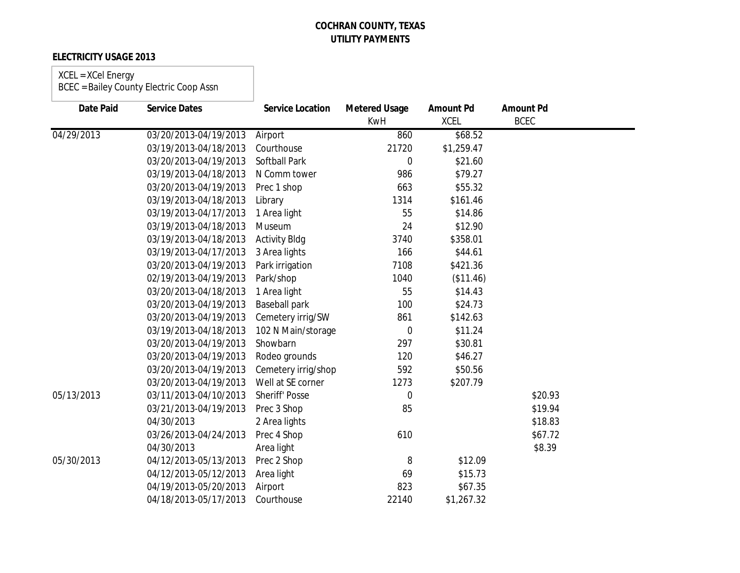### **ELECTRICITY USAGE 2013**

# XCEL = XCel Energy

| <b>Date Paid</b> | <b>Service Dates</b>  | <b>Service Location</b> | <b>Metered Usage</b><br><b>KwH</b> | <b>Amount Pd</b><br><b>XCEL</b> | <b>Amount Pd</b><br><b>BCEC</b> |
|------------------|-----------------------|-------------------------|------------------------------------|---------------------------------|---------------------------------|
| 04/29/2013       | 03/20/2013-04/19/2013 | Airport                 | 860                                | \$68.52                         |                                 |
|                  | 03/19/2013-04/18/2013 | Courthouse              | 21720                              | \$1,259.47                      |                                 |
|                  | 03/20/2013-04/19/2013 | <b>Softball Park</b>    | 0                                  | \$21.60                         |                                 |
|                  | 03/19/2013-04/18/2013 | N Comm tower            | 986                                | \$79.27                         |                                 |
|                  | 03/20/2013-04/19/2013 | Prec 1 shop             | 663                                | \$55.32                         |                                 |
|                  | 03/19/2013-04/18/2013 | Library                 | 1314                               | \$161.46                        |                                 |
|                  | 03/19/2013-04/17/2013 | 1 Area light            | 55                                 | \$14.86                         |                                 |
|                  | 03/19/2013-04/18/2013 | Museum                  | 24                                 | \$12.90                         |                                 |
|                  | 03/19/2013-04/18/2013 | <b>Activity Bldg</b>    | 3740                               | \$358.01                        |                                 |
|                  | 03/19/2013-04/17/2013 | 3 Area lights           | 166                                | \$44.61                         |                                 |
|                  | 03/20/2013-04/19/2013 | Park irrigation         | 7108                               | \$421.36                        |                                 |
|                  | 02/19/2013-04/19/2013 | Park/shop               | 1040                               | (\$11.46)                       |                                 |
|                  | 03/20/2013-04/18/2013 | 1 Area light            | 55                                 | \$14.43                         |                                 |
|                  | 03/20/2013-04/19/2013 | <b>Baseball park</b>    | 100                                | \$24.73                         |                                 |
|                  | 03/20/2013-04/19/2013 | Cemetery irrig/SW       | 861                                | \$142.63                        |                                 |
|                  | 03/19/2013-04/18/2013 | 102 N Main/storage      | 0                                  | \$11.24                         |                                 |
|                  | 03/20/2013-04/19/2013 | Showbarn                | 297                                | \$30.81                         |                                 |
|                  | 03/20/2013-04/19/2013 | Rodeo grounds           | 120                                | \$46.27                         |                                 |
|                  | 03/20/2013-04/19/2013 | Cemetery irrig/shop     | 592                                | \$50.56                         |                                 |
|                  | 03/20/2013-04/19/2013 | Well at SE corner       | 1273                               | \$207.79                        |                                 |
| 05/13/2013       | 03/11/2013-04/10/2013 | <b>Sheriff' Posse</b>   | 0                                  |                                 | \$20.93                         |
|                  | 03/21/2013-04/19/2013 | Prec 3 Shop             | 85                                 |                                 | \$19.94                         |
|                  | 04/30/2013            | 2 Area lights           |                                    |                                 | \$18.83                         |
|                  | 03/26/2013-04/24/2013 | Prec 4 Shop             | 610                                |                                 | \$67.72                         |
|                  | 04/30/2013            | Area light              |                                    |                                 | \$8.39                          |
| 05/30/2013       | 04/12/2013-05/13/2013 | Prec 2 Shop             | 8                                  | \$12.09                         |                                 |
|                  | 04/12/2013-05/12/2013 | Area light              | 69                                 | \$15.73                         |                                 |
|                  | 04/19/2013-05/20/2013 | Airport                 | 823                                | \$67.35                         |                                 |
|                  | 04/18/2013-05/17/2013 | Courthouse              | 22140                              | \$1,267.32                      |                                 |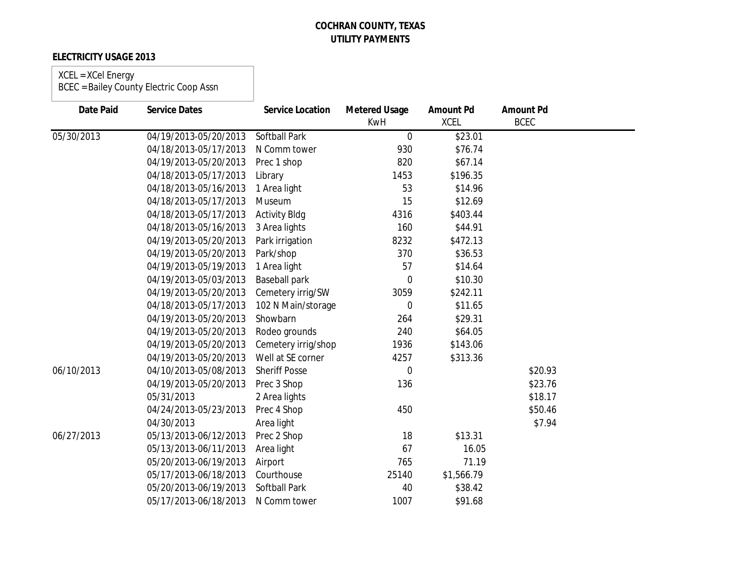### **ELECTRICITY USAGE 2013**

## XCEL = XCel Energy

| Date Paid  | <b>Service Dates</b>  | <b>Service Location</b> | <b>Metered Usage</b><br><b>KwH</b> | <b>Amount Pd</b><br><b>XCEL</b> | <b>Amount Pd</b><br><b>BCEC</b> |  |
|------------|-----------------------|-------------------------|------------------------------------|---------------------------------|---------------------------------|--|
| 05/30/2013 | 04/19/2013-05/20/2013 | <b>Softball Park</b>    | $\overline{0}$                     | \$23.01                         |                                 |  |
|            | 04/18/2013-05/17/2013 | N Comm tower            | 930                                | \$76.74                         |                                 |  |
|            | 04/19/2013-05/20/2013 | Prec 1 shop             | 820                                | \$67.14                         |                                 |  |
|            | 04/18/2013-05/17/2013 | Library                 | 1453                               | \$196.35                        |                                 |  |
|            | 04/18/2013-05/16/2013 | 1 Area light            | 53                                 | \$14.96                         |                                 |  |
|            | 04/18/2013-05/17/2013 | Museum                  | 15                                 | \$12.69                         |                                 |  |
|            | 04/18/2013-05/17/2013 | <b>Activity Bldg</b>    | 4316                               | \$403.44                        |                                 |  |
|            | 04/18/2013-05/16/2013 | 3 Area lights           | 160                                | \$44.91                         |                                 |  |
|            | 04/19/2013-05/20/2013 | Park irrigation         | 8232                               | \$472.13                        |                                 |  |
|            | 04/19/2013-05/20/2013 | Park/shop               | 370                                | \$36.53                         |                                 |  |
|            | 04/19/2013-05/19/2013 | 1 Area light            | 57                                 | \$14.64                         |                                 |  |
|            | 04/19/2013-05/03/2013 | <b>Baseball park</b>    | 0                                  | \$10.30                         |                                 |  |
|            | 04/19/2013-05/20/2013 | Cemetery irrig/SW       | 3059                               | \$242.11                        |                                 |  |
|            | 04/18/2013-05/17/2013 | 102 N Main/storage      | 0                                  | \$11.65                         |                                 |  |
|            | 04/19/2013-05/20/2013 | Showbarn                | 264                                | \$29.31                         |                                 |  |
|            | 04/19/2013-05/20/2013 | Rodeo grounds           | 240                                | \$64.05                         |                                 |  |
|            | 04/19/2013-05/20/2013 | Cemetery irrig/shop     | 1936                               | \$143.06                        |                                 |  |
|            | 04/19/2013-05/20/2013 | Well at SE corner       | 4257                               | \$313.36                        |                                 |  |
| 06/10/2013 | 04/10/2013-05/08/2013 | <b>Sheriff Posse</b>    | 0                                  |                                 | \$20.93                         |  |
|            | 04/19/2013-05/20/2013 | Prec 3 Shop             | 136                                |                                 | \$23.76                         |  |
|            | 05/31/2013            | 2 Area lights           |                                    |                                 | \$18.17                         |  |
|            | 04/24/2013-05/23/2013 | Prec 4 Shop             | 450                                |                                 | \$50.46                         |  |
|            | 04/30/2013            | Area light              |                                    |                                 | \$7.94                          |  |
| 06/27/2013 | 05/13/2013-06/12/2013 | Prec 2 Shop             | 18                                 | \$13.31                         |                                 |  |
|            | 05/13/2013-06/11/2013 | Area light              | 67                                 | 16.05                           |                                 |  |
|            | 05/20/2013-06/19/2013 | Airport                 | 765                                | 71.19                           |                                 |  |
|            | 05/17/2013-06/18/2013 | Courthouse              | 25140                              | \$1,566.79                      |                                 |  |
|            | 05/20/2013-06/19/2013 | <b>Softball Park</b>    | 40                                 | \$38.42                         |                                 |  |
|            | 05/17/2013-06/18/2013 | N Comm tower            | 1007                               | \$91.68                         |                                 |  |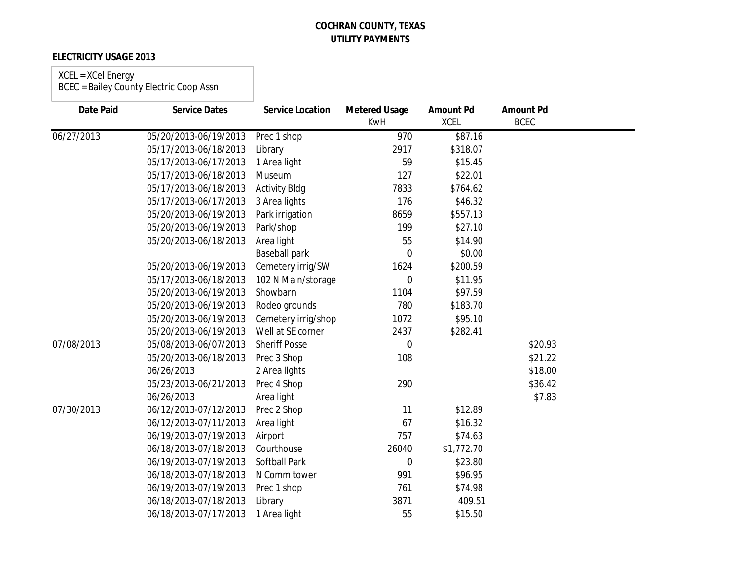### **ELECTRICITY USAGE 2013**

#### XCEL = XCel Energy BCEC = Bailey County Electric Coop Assn

| <b>Date Paid</b> | <b>Service Dates</b>  | <b>Service Location</b> | <b>Metered Usage</b><br><b>KwH</b> | <b>Amount Pd</b><br><b>XCEL</b> | <b>Amount Pd</b><br><b>BCEC</b> |  |
|------------------|-----------------------|-------------------------|------------------------------------|---------------------------------|---------------------------------|--|
| 06/27/2013       | 05/20/2013-06/19/2013 | Prec 1 shop             | 970                                | \$87.16                         |                                 |  |
|                  | 05/17/2013-06/18/2013 | Library                 | 2917                               | \$318.07                        |                                 |  |
|                  | 05/17/2013-06/17/2013 | 1 Area light            | 59                                 | \$15.45                         |                                 |  |
|                  | 05/17/2013-06/18/2013 | Museum                  | 127                                | \$22.01                         |                                 |  |
|                  | 05/17/2013-06/18/2013 | <b>Activity Bldg</b>    | 7833                               | \$764.62                        |                                 |  |
|                  | 05/17/2013-06/17/2013 | 3 Area lights           | 176                                | \$46.32                         |                                 |  |
|                  | 05/20/2013-06/19/2013 | Park irrigation         | 8659                               | \$557.13                        |                                 |  |
|                  | 05/20/2013-06/19/2013 | Park/shop               | 199                                | \$27.10                         |                                 |  |
|                  | 05/20/2013-06/18/2013 | Area light              | 55                                 | \$14.90                         |                                 |  |
|                  |                       | <b>Baseball park</b>    | $\overline{0}$                     | \$0.00                          |                                 |  |
|                  | 05/20/2013-06/19/2013 | Cemetery irrig/SW       | 1624                               | \$200.59                        |                                 |  |
|                  | 05/17/2013-06/18/2013 | 102 N Main/storage      | $\boldsymbol{0}$                   | \$11.95                         |                                 |  |
|                  | 05/20/2013-06/19/2013 | Showbarn                | 1104                               | \$97.59                         |                                 |  |
|                  | 05/20/2013-06/19/2013 | Rodeo grounds           | 780                                | \$183.70                        |                                 |  |
|                  | 05/20/2013-06/19/2013 | Cemetery irrig/shop     | 1072                               | \$95.10                         |                                 |  |
|                  | 05/20/2013-06/19/2013 | Well at SE corner       | 2437                               | \$282.41                        |                                 |  |
| 07/08/2013       | 05/08/2013-06/07/2013 | <b>Sheriff Posse</b>    | $\overline{0}$                     |                                 | \$20.93                         |  |
|                  | 05/20/2013-06/18/2013 | Prec 3 Shop             | 108                                |                                 | \$21.22                         |  |
|                  | 06/26/2013            | 2 Area lights           |                                    |                                 | \$18.00                         |  |
|                  | 05/23/2013-06/21/2013 | Prec 4 Shop             | 290                                |                                 | \$36.42                         |  |
|                  | 06/26/2013            | Area light              |                                    |                                 | \$7.83                          |  |
| 07/30/2013       | 06/12/2013-07/12/2013 | Prec 2 Shop             | 11                                 | \$12.89                         |                                 |  |
|                  | 06/12/2013-07/11/2013 | Area light              | 67                                 | \$16.32                         |                                 |  |
|                  | 06/19/2013-07/19/2013 | Airport                 | 757                                | \$74.63                         |                                 |  |
|                  | 06/18/2013-07/18/2013 | Courthouse              | 26040                              | \$1,772.70                      |                                 |  |
|                  | 06/19/2013-07/19/2013 | Softball Park           | $\boldsymbol{0}$                   | \$23.80                         |                                 |  |
|                  | 06/18/2013-07/18/2013 | N Comm tower            | 991                                | \$96.95                         |                                 |  |
|                  | 06/19/2013-07/19/2013 | Prec 1 shop             | 761                                | \$74.98                         |                                 |  |
|                  | 06/18/2013-07/18/2013 | Library                 | 3871                               | 409.51                          |                                 |  |
|                  | 06/18/2013-07/17/2013 | 1 Area light            | 55                                 | \$15.50                         |                                 |  |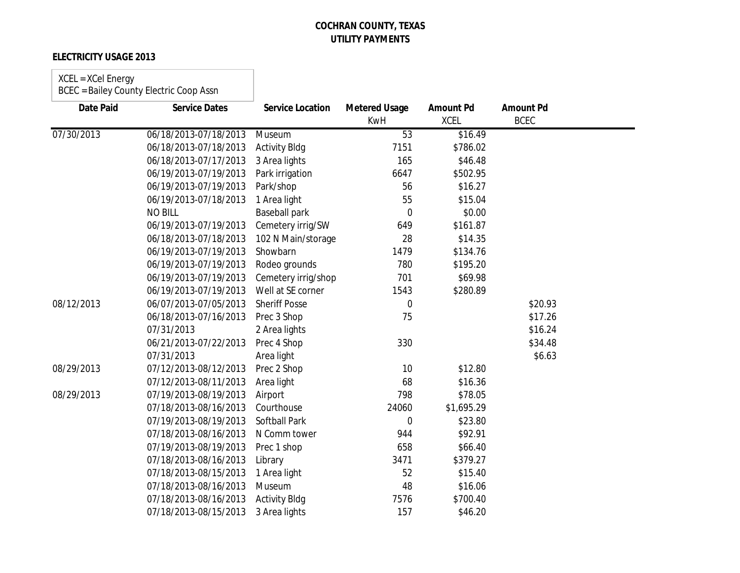### **ELECTRICITY USAGE 2013**

#### XCEL = XCel Energy

| <b>Date Paid</b> | <b>Service Dates</b>  | <b>Service Location</b> | <b>Metered Usage</b><br><b>KwH</b> | <b>Amount Pd</b><br><b>XCEL</b> | <b>Amount Pd</b><br><b>BCEC</b> |  |
|------------------|-----------------------|-------------------------|------------------------------------|---------------------------------|---------------------------------|--|
| 07/30/2013       | 06/18/2013-07/18/2013 | Museum                  | 53                                 | \$16.49                         |                                 |  |
|                  | 06/18/2013-07/18/2013 | <b>Activity Bldg</b>    | 7151                               | \$786.02                        |                                 |  |
|                  | 06/18/2013-07/17/2013 | 3 Area lights           | 165                                | \$46.48                         |                                 |  |
|                  | 06/19/2013-07/19/2013 | Park irrigation         | 6647                               | \$502.95                        |                                 |  |
|                  | 06/19/2013-07/19/2013 | Park/shop               | 56                                 | \$16.27                         |                                 |  |
|                  | 06/19/2013-07/18/2013 | 1 Area light            | 55                                 | \$15.04                         |                                 |  |
|                  | <b>NO BILL</b>        | <b>Baseball park</b>    | $\mathbf 0$                        | \$0.00                          |                                 |  |
|                  | 06/19/2013-07/19/2013 | Cemetery irrig/SW       | 649                                | \$161.87                        |                                 |  |
|                  | 06/18/2013-07/18/2013 | 102 N Main/storage      | 28                                 | \$14.35                         |                                 |  |
|                  | 06/19/2013-07/19/2013 | Showbarn                | 1479                               | \$134.76                        |                                 |  |
|                  | 06/19/2013-07/19/2013 | Rodeo grounds           | 780                                | \$195.20                        |                                 |  |
|                  | 06/19/2013-07/19/2013 | Cemetery irrig/shop     | 701                                | \$69.98                         |                                 |  |
|                  | 06/19/2013-07/19/2013 | Well at SE corner       | 1543                               | \$280.89                        |                                 |  |
| 08/12/2013       | 06/07/2013-07/05/2013 | <b>Sheriff Posse</b>    | 0                                  |                                 | \$20.93                         |  |
|                  | 06/18/2013-07/16/2013 | Prec 3 Shop             | 75                                 |                                 | \$17.26                         |  |
|                  | 07/31/2013            | 2 Area lights           |                                    |                                 | \$16.24                         |  |
|                  | 06/21/2013-07/22/2013 | Prec 4 Shop             | 330                                |                                 | \$34.48                         |  |
|                  | 07/31/2013            | Area light              |                                    |                                 | \$6.63                          |  |
| 08/29/2013       | 07/12/2013-08/12/2013 | Prec 2 Shop             | 10                                 | \$12.80                         |                                 |  |
|                  | 07/12/2013-08/11/2013 | Area light              | 68                                 | \$16.36                         |                                 |  |
| 08/29/2013       | 07/19/2013-08/19/2013 | Airport                 | 798                                | \$78.05                         |                                 |  |
|                  | 07/18/2013-08/16/2013 | Courthouse              | 24060                              | \$1,695.29                      |                                 |  |
|                  | 07/19/2013-08/19/2013 | <b>Softball Park</b>    | 0                                  | \$23.80                         |                                 |  |
|                  | 07/18/2013-08/16/2013 | N Comm tower            | 944                                | \$92.91                         |                                 |  |
|                  | 07/19/2013-08/19/2013 | Prec 1 shop             | 658                                | \$66.40                         |                                 |  |
|                  | 07/18/2013-08/16/2013 | Library                 | 3471                               | \$379.27                        |                                 |  |
|                  | 07/18/2013-08/15/2013 | 1 Area light            | 52                                 | \$15.40                         |                                 |  |
|                  | 07/18/2013-08/16/2013 | Museum                  | 48                                 | \$16.06                         |                                 |  |
|                  | 07/18/2013-08/16/2013 | <b>Activity Bldg</b>    | 7576                               | \$700.40                        |                                 |  |
|                  | 07/18/2013-08/15/2013 | 3 Area lights           | 157                                | \$46.20                         |                                 |  |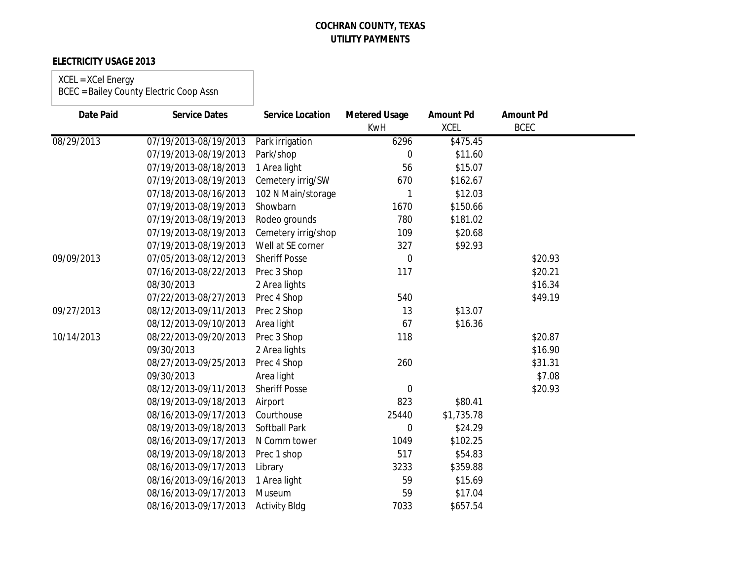### **ELECTRICITY USAGE 2013**

#### XCEL = XCel Energy

| <b>Date Paid</b> | <b>Service Dates</b>  | <b>Service Location</b> | <b>Metered Usage</b> | <b>Amount Pd</b> | <b>Amount Pd</b> |  |
|------------------|-----------------------|-------------------------|----------------------|------------------|------------------|--|
|                  |                       |                         | <b>KwH</b>           | <b>XCEL</b>      | <b>BCEC</b>      |  |
| 08/29/2013       | 07/19/2013-08/19/2013 | Park irrigation         | 6296                 | \$475.45         |                  |  |
|                  | 07/19/2013-08/19/2013 | Park/shop               | $\overline{0}$       | \$11.60          |                  |  |
|                  | 07/19/2013-08/18/2013 | 1 Area light            | 56                   | \$15.07          |                  |  |
|                  | 07/19/2013-08/19/2013 | Cemetery irrig/SW       | 670                  | \$162.67         |                  |  |
|                  | 07/18/2013-08/16/2013 | 102 N Main/storage      |                      | \$12.03          |                  |  |
|                  | 07/19/2013-08/19/2013 | Showbarn                | 1670                 | \$150.66         |                  |  |
|                  | 07/19/2013-08/19/2013 | Rodeo grounds           | 780                  | \$181.02         |                  |  |
|                  | 07/19/2013-08/19/2013 | Cemetery irrig/shop     | 109                  | \$20.68          |                  |  |
|                  | 07/19/2013-08/19/2013 | Well at SE corner       | 327                  | \$92.93          |                  |  |
| 09/09/2013       | 07/05/2013-08/12/2013 | <b>Sheriff Posse</b>    | $\boldsymbol{0}$     |                  | \$20.93          |  |
|                  | 07/16/2013-08/22/2013 | Prec 3 Shop             | 117                  |                  | \$20.21          |  |
|                  | 08/30/2013            | 2 Area lights           |                      |                  | \$16.34          |  |
|                  | 07/22/2013-08/27/2013 | Prec 4 Shop             | 540                  |                  | \$49.19          |  |
| 09/27/2013       | 08/12/2013-09/11/2013 | Prec 2 Shop             | 13                   | \$13.07          |                  |  |
|                  | 08/12/2013-09/10/2013 | Area light              | 67                   | \$16.36          |                  |  |
| 10/14/2013       | 08/22/2013-09/20/2013 | Prec 3 Shop             | 118                  |                  | \$20.87          |  |
|                  | 09/30/2013            | 2 Area lights           |                      |                  | \$16.90          |  |
|                  | 08/27/2013-09/25/2013 | Prec 4 Shop             | 260                  |                  | \$31.31          |  |
|                  | 09/30/2013            | Area light              |                      |                  | \$7.08           |  |
|                  | 08/12/2013-09/11/2013 | <b>Sheriff Posse</b>    | $\mathbf 0$          |                  | \$20.93          |  |
|                  | 08/19/2013-09/18/2013 | Airport                 | 823                  | \$80.41          |                  |  |
|                  | 08/16/2013-09/17/2013 | Courthouse              | 25440                | \$1,735.78       |                  |  |
|                  | 08/19/2013-09/18/2013 | <b>Softball Park</b>    | $\overline{0}$       | \$24.29          |                  |  |
|                  | 08/16/2013-09/17/2013 | N Comm tower            | 1049                 | \$102.25         |                  |  |
|                  | 08/19/2013-09/18/2013 | Prec 1 shop             | 517                  | \$54.83          |                  |  |
|                  | 08/16/2013-09/17/2013 | Library                 | 3233                 | \$359.88         |                  |  |
|                  | 08/16/2013-09/16/2013 | 1 Area light            | 59                   | \$15.69          |                  |  |
|                  | 08/16/2013-09/17/2013 | Museum                  | 59                   | \$17.04          |                  |  |
|                  | 08/16/2013-09/17/2013 | <b>Activity Bldg</b>    | 7033                 | \$657.54         |                  |  |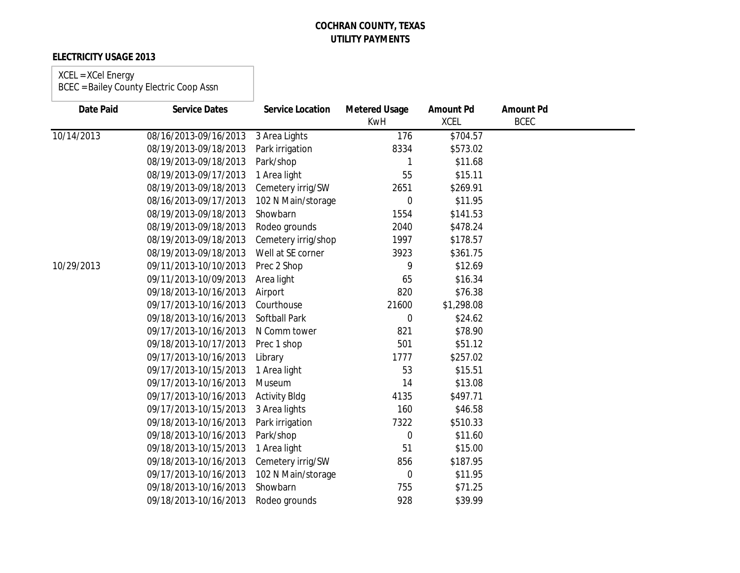### **ELECTRICITY USAGE 2013**

#### XCEL = XCel Energy BCEC = Bailey County Electric Coop Assn

| <b>Date Paid</b> | <b>Service Dates</b>  | <b>Service Location</b> | <b>Metered Usage</b><br><b>KwH</b> | <b>Amount Pd</b><br><b>XCEL</b> | <b>Amount Pd</b><br><b>BCEC</b> |  |
|------------------|-----------------------|-------------------------|------------------------------------|---------------------------------|---------------------------------|--|
| 10/14/2013       | 08/16/2013-09/16/2013 | 3 Area Lights           | 176                                | \$704.57                        |                                 |  |
|                  | 08/19/2013-09/18/2013 | Park irrigation         | 8334                               | \$573.02                        |                                 |  |
|                  | 08/19/2013-09/18/2013 | Park/shop               |                                    | \$11.68                         |                                 |  |
|                  | 08/19/2013-09/17/2013 | 1 Area light            | 55                                 | \$15.11                         |                                 |  |
|                  | 08/19/2013-09/18/2013 | Cemetery irrig/SW       | 2651                               | \$269.91                        |                                 |  |
|                  | 08/16/2013-09/17/2013 | 102 N Main/storage      | $\overline{0}$                     | \$11.95                         |                                 |  |
|                  | 08/19/2013-09/18/2013 | Showbarn                | 1554                               | \$141.53                        |                                 |  |
|                  | 08/19/2013-09/18/2013 | Rodeo grounds           | 2040                               | \$478.24                        |                                 |  |
|                  | 08/19/2013-09/18/2013 | Cemetery irrig/shop     | 1997                               | \$178.57                        |                                 |  |
|                  | 08/19/2013-09/18/2013 | Well at SE corner       | 3923                               | \$361.75                        |                                 |  |
| 10/29/2013       | 09/11/2013-10/10/2013 | Prec 2 Shop             | 9                                  | \$12.69                         |                                 |  |
|                  | 09/11/2013-10/09/2013 | Area light              | 65                                 | \$16.34                         |                                 |  |
|                  | 09/18/2013-10/16/2013 | Airport                 | 820                                | \$76.38                         |                                 |  |
|                  | 09/17/2013-10/16/2013 | Courthouse              | 21600                              | \$1,298.08                      |                                 |  |
|                  | 09/18/2013-10/16/2013 | Softball Park           | $\mathbf 0$                        | \$24.62                         |                                 |  |
|                  | 09/17/2013-10/16/2013 | N Comm tower            | 821                                | \$78.90                         |                                 |  |
|                  | 09/18/2013-10/17/2013 | Prec 1 shop             | 501                                | \$51.12                         |                                 |  |
|                  | 09/17/2013-10/16/2013 | Library                 | 1777                               | \$257.02                        |                                 |  |
|                  | 09/17/2013-10/15/2013 | 1 Area light            | 53                                 | \$15.51                         |                                 |  |
|                  | 09/17/2013-10/16/2013 | Museum                  | 14                                 | \$13.08                         |                                 |  |
|                  | 09/17/2013-10/16/2013 | <b>Activity Bldg</b>    | 4135                               | \$497.71                        |                                 |  |
|                  | 09/17/2013-10/15/2013 | 3 Area lights           | 160                                | \$46.58                         |                                 |  |
|                  | 09/18/2013-10/16/2013 | Park irrigation         | 7322                               | \$510.33                        |                                 |  |
|                  | 09/18/2013-10/16/2013 | Park/shop               | $\mathbf 0$                        | \$11.60                         |                                 |  |
|                  | 09/18/2013-10/15/2013 | 1 Area light            | 51                                 | \$15.00                         |                                 |  |
|                  | 09/18/2013-10/16/2013 | Cemetery irrig/SW       | 856                                | \$187.95                        |                                 |  |
|                  | 09/17/2013-10/16/2013 | 102 N Main/storage      | $\mathbf 0$                        | \$11.95                         |                                 |  |
|                  | 09/18/2013-10/16/2013 | Showbarn                | 755                                | \$71.25                         |                                 |  |
|                  | 09/18/2013-10/16/2013 | Rodeo grounds           | 928                                | \$39.99                         |                                 |  |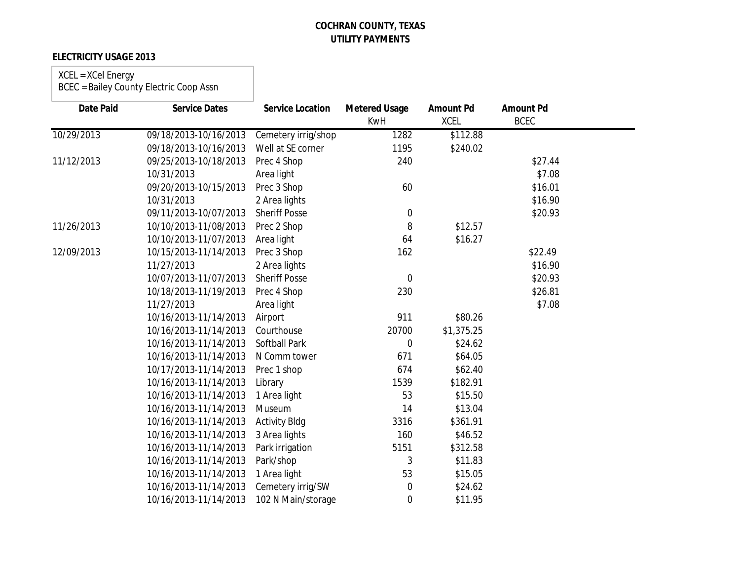### **ELECTRICITY USAGE 2013**

# XCEL = XCel Energy

| <b>Date Paid</b> | <b>Service Dates</b>  | <b>Service Location</b> | <b>Metered Usage</b><br><b>KwH</b> | <b>Amount Pd</b><br><b>XCEL</b> | <b>Amount Pd</b><br><b>BCEC</b> |  |
|------------------|-----------------------|-------------------------|------------------------------------|---------------------------------|---------------------------------|--|
| 10/29/2013       | 09/18/2013-10/16/2013 | Cemetery irrig/shop     | 1282                               | \$112.88                        |                                 |  |
|                  | 09/18/2013-10/16/2013 | Well at SE corner       | 1195                               | \$240.02                        |                                 |  |
| 11/12/2013       | 09/25/2013-10/18/2013 | Prec 4 Shop             | 240                                |                                 | \$27.44                         |  |
|                  | 10/31/2013            | Area light              |                                    |                                 | \$7.08                          |  |
|                  | 09/20/2013-10/15/2013 | Prec 3 Shop             | 60                                 |                                 | \$16.01                         |  |
|                  | 10/31/2013            | 2 Area lights           |                                    |                                 | \$16.90                         |  |
|                  | 09/11/2013-10/07/2013 | <b>Sheriff Posse</b>    | 0                                  |                                 | \$20.93                         |  |
| 11/26/2013       | 10/10/2013-11/08/2013 | Prec 2 Shop             | 8                                  | \$12.57                         |                                 |  |
|                  | 10/10/2013-11/07/2013 | Area light              | 64                                 | \$16.27                         |                                 |  |
| 12/09/2013       | 10/15/2013-11/14/2013 | Prec 3 Shop             | 162                                |                                 | \$22.49                         |  |
|                  | 11/27/2013            | 2 Area lights           |                                    |                                 | \$16.90                         |  |
|                  | 10/07/2013-11/07/2013 | <b>Sheriff Posse</b>    | 0                                  |                                 | \$20.93                         |  |
|                  | 10/18/2013-11/19/2013 | Prec 4 Shop             | 230                                |                                 | \$26.81                         |  |
|                  | 11/27/2013            | Area light              |                                    |                                 | \$7.08                          |  |
|                  | 10/16/2013-11/14/2013 | Airport                 | 911                                | \$80.26                         |                                 |  |
|                  | 10/16/2013-11/14/2013 | Courthouse              | 20700                              | \$1,375.25                      |                                 |  |
|                  | 10/16/2013-11/14/2013 | <b>Softball Park</b>    | $\overline{0}$                     | \$24.62                         |                                 |  |
|                  | 10/16/2013-11/14/2013 | N Comm tower            | 671                                | \$64.05                         |                                 |  |
|                  | 10/17/2013-11/14/2013 | Prec 1 shop             | 674                                | \$62.40                         |                                 |  |
|                  | 10/16/2013-11/14/2013 | Library                 | 1539                               | \$182.91                        |                                 |  |
|                  | 10/16/2013-11/14/2013 | 1 Area light            | 53                                 | \$15.50                         |                                 |  |
|                  | 10/16/2013-11/14/2013 | Museum                  | 14                                 | \$13.04                         |                                 |  |
|                  | 10/16/2013-11/14/2013 | <b>Activity Bldg</b>    | 3316                               | \$361.91                        |                                 |  |
|                  | 10/16/2013-11/14/2013 | 3 Area lights           | 160                                | \$46.52                         |                                 |  |
|                  | 10/16/2013-11/14/2013 | Park irrigation         | 5151                               | \$312.58                        |                                 |  |
|                  | 10/16/2013-11/14/2013 | Park/shop               | 3                                  | \$11.83                         |                                 |  |
|                  | 10/16/2013-11/14/2013 | 1 Area light            | 53                                 | \$15.05                         |                                 |  |
|                  | 10/16/2013-11/14/2013 | Cemetery irrig/SW       | 0                                  | \$24.62                         |                                 |  |
|                  | 10/16/2013-11/14/2013 | 102 N Main/storage      | 0                                  | \$11.95                         |                                 |  |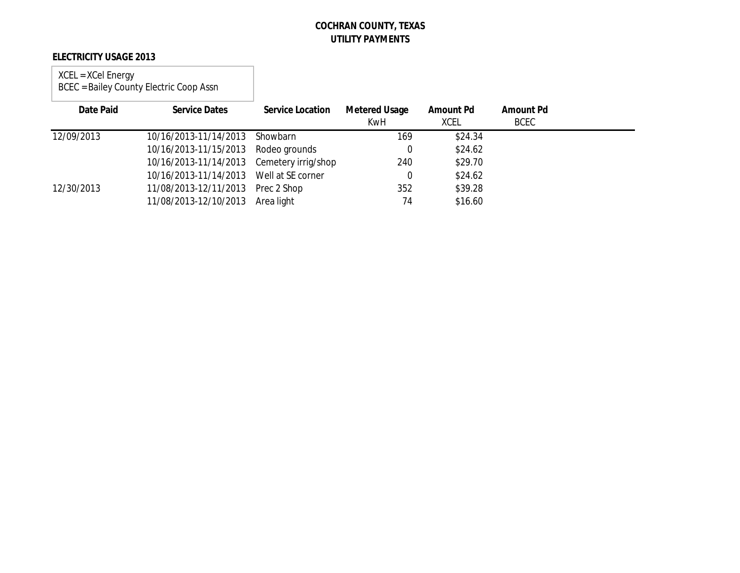### **ELECTRICITY USAGE 2013**

#### XCEL = XCel Energy BCEC = Bailey County Electric Coop Assn

| Date Paid  | <b>Service Dates</b>                      | <b>Service Location</b> | Metered Usage<br><b>KwH</b> | Amount Pd<br><b>XCEL</b> | <b>Amount Pd</b><br><b>BCEC</b> |  |
|------------|-------------------------------------------|-------------------------|-----------------------------|--------------------------|---------------------------------|--|
| 12/09/2013 | 10/16/2013-11/14/2013                     | Showbarn                | 169                         | \$24.34                  |                                 |  |
|            | 10/16/2013-11/15/2013 Rodeo grounds       |                         | $\Omega$                    | \$24.62                  |                                 |  |
|            | 10/16/2013-11/14/2013 Cemetery irrig/shop |                         | 240                         | \$29.70                  |                                 |  |
|            | 10/16/2013-11/14/2013 Well at SE corner   |                         | $\Omega$                    | \$24.62                  |                                 |  |
| 12/30/2013 | 11/08/2013-12/11/2013 Prec 2 Shop         |                         | 352                         | \$39.28                  |                                 |  |
|            | 11/08/2013-12/10/2013 Area light          |                         | 74                          | \$16.60                  |                                 |  |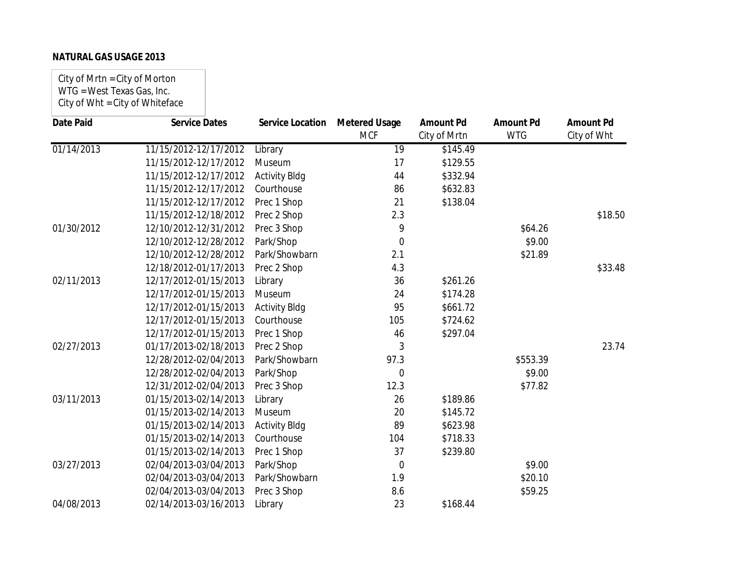City of Mrtn = City of Morton WTG = West Texas Gas, Inc. City of Wht = City of Whiteface

| <b>Date Paid</b> | <b>Service Dates</b>  | Service Location     | <b>Metered Usage</b><br><b>MCF</b> | <b>Amount Pd</b> | <b>Amount Pd</b><br><b>WTG</b> | <b>Amount Pd</b> |
|------------------|-----------------------|----------------------|------------------------------------|------------------|--------------------------------|------------------|
|                  |                       |                      |                                    | City of Mrtn     |                                | City of Wht      |
| 01/14/2013       | 11/15/2012-12/17/2012 | Library              | 19                                 | \$145.49         |                                |                  |
|                  | 11/15/2012-12/17/2012 | Museum               | 17                                 | \$129.55         |                                |                  |
|                  | 11/15/2012-12/17/2012 | <b>Activity Bldg</b> | 44                                 | \$332.94         |                                |                  |
|                  | 11/15/2012-12/17/2012 | Courthouse           | 86                                 | \$632.83         |                                |                  |
|                  | 11/15/2012-12/17/2012 | Prec 1 Shop          | 21                                 | \$138.04         |                                |                  |
|                  | 11/15/2012-12/18/2012 | Prec 2 Shop          | 2.3                                |                  |                                | \$18.50          |
| 01/30/2012       | 12/10/2012-12/31/2012 | Prec 3 Shop          | 9                                  |                  | \$64.26                        |                  |
|                  | 12/10/2012-12/28/2012 | Park/Shop            | $\mathbf 0$                        |                  | \$9.00                         |                  |
|                  | 12/10/2012-12/28/2012 | Park/Showbarn        | 2.1                                |                  | \$21.89                        |                  |
|                  | 12/18/2012-01/17/2013 | Prec 2 Shop          | 4.3                                |                  |                                | \$33.48          |
| 02/11/2013       | 12/17/2012-01/15/2013 | Library              | 36                                 | \$261.26         |                                |                  |
|                  | 12/17/2012-01/15/2013 | Museum               | 24                                 | \$174.28         |                                |                  |
|                  | 12/17/2012-01/15/2013 | <b>Activity Bldg</b> | 95                                 | \$661.72         |                                |                  |
|                  | 12/17/2012-01/15/2013 | Courthouse           | 105                                | \$724.62         |                                |                  |
|                  | 12/17/2012-01/15/2013 | Prec 1 Shop          | 46                                 | \$297.04         |                                |                  |
| 02/27/2013       | 01/17/2013-02/18/2013 | Prec 2 Shop          | 3                                  |                  |                                | 23.74            |
|                  | 12/28/2012-02/04/2013 | Park/Showbarn        | 97.3                               |                  | \$553.39                       |                  |
|                  | 12/28/2012-02/04/2013 | Park/Shop            | 0                                  |                  | \$9.00                         |                  |
|                  | 12/31/2012-02/04/2013 | Prec 3 Shop          | 12.3                               |                  | \$77.82                        |                  |
| 03/11/2013       | 01/15/2013-02/14/2013 | Library              | 26                                 | \$189.86         |                                |                  |
|                  | 01/15/2013-02/14/2013 | Museum               | 20                                 | \$145.72         |                                |                  |
|                  | 01/15/2013-02/14/2013 | <b>Activity Bldg</b> | 89                                 | \$623.98         |                                |                  |
|                  | 01/15/2013-02/14/2013 | Courthouse           | 104                                | \$718.33         |                                |                  |
|                  | 01/15/2013-02/14/2013 | Prec 1 Shop          | 37                                 | \$239.80         |                                |                  |
| 03/27/2013       | 02/04/2013-03/04/2013 | Park/Shop            | $\overline{0}$                     |                  | \$9.00                         |                  |
|                  | 02/04/2013-03/04/2013 | Park/Showbarn        | 1.9                                |                  | \$20.10                        |                  |
|                  | 02/04/2013-03/04/2013 | Prec 3 Shop          | 8.6                                |                  | \$59.25                        |                  |
| 04/08/2013       | 02/14/2013-03/16/2013 | Library              | 23                                 | \$168.44         |                                |                  |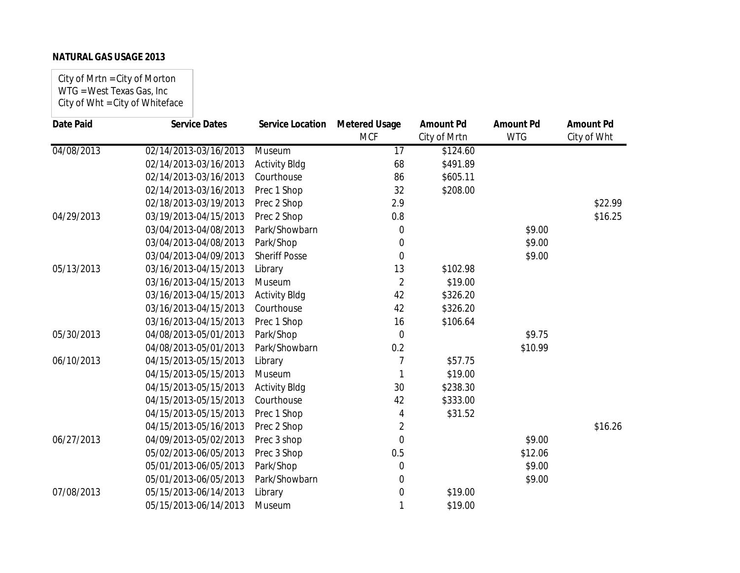City of Mrtn = City of Morton WTG = West Texas Gas, Inc City of Wht = City of Whiteface

| <b>Date Paid</b> | <b>Service Dates</b>  | <b>Service Location</b> | <b>Metered Usage</b> | <b>Amount Pd</b> | <b>Amount Pd</b> | <b>Amount Pd</b> |
|------------------|-----------------------|-------------------------|----------------------|------------------|------------------|------------------|
|                  |                       |                         | <b>MCF</b>           | City of Mrtn     | <b>WTG</b>       | City of Wht      |
| 04/08/2013       | 02/14/2013-03/16/2013 | Museum                  | $\overline{17}$      | \$124.60         |                  |                  |
|                  | 02/14/2013-03/16/2013 | <b>Activity Bldg</b>    | 68                   | \$491.89         |                  |                  |
|                  | 02/14/2013-03/16/2013 | Courthouse              | 86                   | \$605.11         |                  |                  |
|                  | 02/14/2013-03/16/2013 | Prec 1 Shop             | 32                   | \$208.00         |                  |                  |
|                  | 02/18/2013-03/19/2013 | Prec 2 Shop             | 2.9                  |                  |                  | \$22.99          |
| 04/29/2013       | 03/19/2013-04/15/2013 | Prec 2 Shop             | 0.8                  |                  |                  | \$16.25          |
|                  | 03/04/2013-04/08/2013 | Park/Showbarn           | 0                    |                  | \$9.00           |                  |
|                  | 03/04/2013-04/08/2013 | Park/Shop               | 0                    |                  | \$9.00           |                  |
|                  | 03/04/2013-04/09/2013 | <b>Sheriff Posse</b>    | $\mathbf 0$          |                  | \$9.00           |                  |
| 05/13/2013       | 03/16/2013-04/15/2013 | Library                 | 13                   | \$102.98         |                  |                  |
|                  | 03/16/2013-04/15/2013 | Museum                  | $\overline{2}$       | \$19.00          |                  |                  |
|                  | 03/16/2013-04/15/2013 | <b>Activity Bldg</b>    | 42                   | \$326.20         |                  |                  |
|                  | 03/16/2013-04/15/2013 | Courthouse              | 42                   | \$326.20         |                  |                  |
|                  | 03/16/2013-04/15/2013 | Prec 1 Shop             | 16                   | \$106.64         |                  |                  |
| 05/30/2013       | 04/08/2013-05/01/2013 | Park/Shop               | $\overline{0}$       |                  | \$9.75           |                  |
|                  | 04/08/2013-05/01/2013 | Park/Showbarn           | 0.2                  |                  | \$10.99          |                  |
| 06/10/2013       | 04/15/2013-05/15/2013 | Library                 | 7                    | \$57.75          |                  |                  |
|                  | 04/15/2013-05/15/2013 | Museum                  | 1                    | \$19.00          |                  |                  |
|                  | 04/15/2013-05/15/2013 | <b>Activity Bldg</b>    | 30                   | \$238.30         |                  |                  |
|                  | 04/15/2013-05/15/2013 | Courthouse              | 42                   | \$333.00         |                  |                  |
|                  | 04/15/2013-05/15/2013 | Prec 1 Shop             | 4                    | \$31.52          |                  |                  |
|                  | 04/15/2013-05/16/2013 | Prec 2 Shop             | 2                    |                  |                  | \$16.26          |
| 06/27/2013       | 04/09/2013-05/02/2013 | Prec 3 shop             | $\overline{0}$       |                  | \$9.00           |                  |
|                  | 05/02/2013-06/05/2013 | Prec 3 Shop             | 0.5                  |                  | \$12.06          |                  |
|                  | 05/01/2013-06/05/2013 | Park/Shop               | 0                    |                  | \$9.00           |                  |
|                  | 05/01/2013-06/05/2013 | Park/Showbarn           | 0                    |                  | \$9.00           |                  |
| 07/08/2013       | 05/15/2013-06/14/2013 | Library                 | 0                    | \$19.00          |                  |                  |
|                  | 05/15/2013-06/14/2013 | Museum                  |                      | \$19.00          |                  |                  |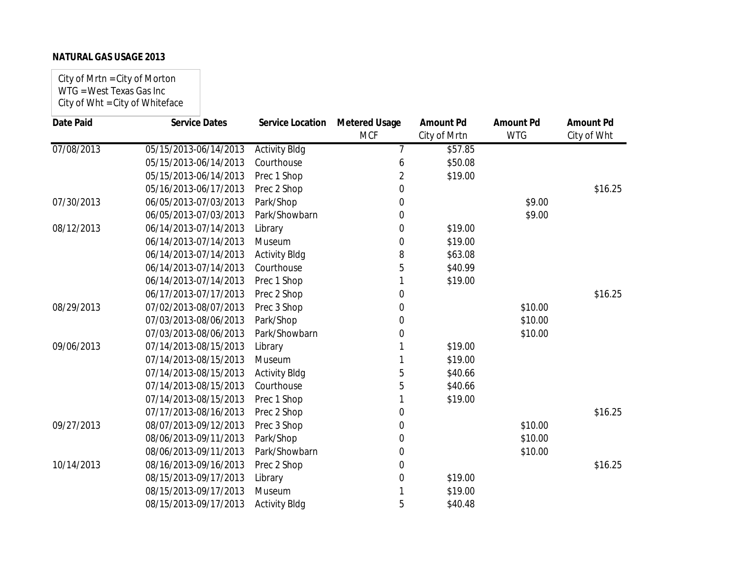City of Mrtn = City of Morton WTG = West Texas Gas Inc City of Wht = City of Whiteface

| <b>Date Paid</b> | <b>Service Dates</b>  | <b>Service Location</b> | <b>Metered Usage</b><br><b>MCF</b> | <b>Amount Pd</b><br>City of Mrtn | <b>Amount Pd</b><br><b>WTG</b> | <b>Amount Pd</b><br>City of Wht |
|------------------|-----------------------|-------------------------|------------------------------------|----------------------------------|--------------------------------|---------------------------------|
|                  |                       |                         |                                    |                                  |                                |                                 |
| 07/08/2013       | 05/15/2013-06/14/2013 | <b>Activity Bldg</b>    | 7                                  | \$57.85                          |                                |                                 |
|                  | 05/15/2013-06/14/2013 | Courthouse              | 6                                  | \$50.08                          |                                |                                 |
|                  | 05/15/2013-06/14/2013 | Prec 1 Shop             | 2                                  | \$19.00                          |                                |                                 |
|                  | 05/16/2013-06/17/2013 | Prec 2 Shop             | 0                                  |                                  |                                | \$16.25                         |
| 07/30/2013       | 06/05/2013-07/03/2013 | Park/Shop               | 0                                  |                                  | \$9.00                         |                                 |
|                  | 06/05/2013-07/03/2013 | Park/Showbarn           | 0                                  |                                  | \$9.00                         |                                 |
| 08/12/2013       | 06/14/2013-07/14/2013 | Library                 | 0                                  | \$19.00                          |                                |                                 |
|                  | 06/14/2013-07/14/2013 | Museum                  | 0                                  | \$19.00                          |                                |                                 |
|                  | 06/14/2013-07/14/2013 | <b>Activity Bldg</b>    | 8                                  | \$63.08                          |                                |                                 |
|                  | 06/14/2013-07/14/2013 | Courthouse              | 5                                  | \$40.99                          |                                |                                 |
|                  | 06/14/2013-07/14/2013 | Prec 1 Shop             |                                    | \$19.00                          |                                |                                 |
|                  | 06/17/2013-07/17/2013 | Prec 2 Shop             | 0                                  |                                  |                                | \$16.25                         |
| 08/29/2013       | 07/02/2013-08/07/2013 | Prec 3 Shop             | 0                                  |                                  | \$10.00                        |                                 |
|                  | 07/03/2013-08/06/2013 | Park/Shop               | 0                                  |                                  | \$10.00                        |                                 |
|                  | 07/03/2013-08/06/2013 | Park/Showbarn           | 0                                  |                                  | \$10.00                        |                                 |
| 09/06/2013       | 07/14/2013-08/15/2013 | Library                 |                                    | \$19.00                          |                                |                                 |
|                  | 07/14/2013-08/15/2013 | Museum                  |                                    | \$19.00                          |                                |                                 |
|                  | 07/14/2013-08/15/2013 | <b>Activity Bldg</b>    | 5                                  | \$40.66                          |                                |                                 |
|                  | 07/14/2013-08/15/2013 | Courthouse              | 5                                  | \$40.66                          |                                |                                 |
|                  | 07/14/2013-08/15/2013 | Prec 1 Shop             |                                    | \$19.00                          |                                |                                 |
|                  | 07/17/2013-08/16/2013 | Prec 2 Shop             | 0                                  |                                  |                                | \$16.25                         |
| 09/27/2013       | 08/07/2013-09/12/2013 | Prec 3 Shop             | 0                                  |                                  | \$10.00                        |                                 |
|                  | 08/06/2013-09/11/2013 | Park/Shop               | 0                                  |                                  | \$10.00                        |                                 |
|                  | 08/06/2013-09/11/2013 | Park/Showbarn           | 0                                  |                                  | \$10.00                        |                                 |
| 10/14/2013       | 08/16/2013-09/16/2013 | Prec 2 Shop             | 0                                  |                                  |                                | \$16.25                         |
|                  | 08/15/2013-09/17/2013 | Library                 | 0                                  | \$19.00                          |                                |                                 |
|                  | 08/15/2013-09/17/2013 | Museum                  |                                    | \$19.00                          |                                |                                 |
|                  | 08/15/2013-09/17/2013 | <b>Activity Bldg</b>    | 5                                  | \$40.48                          |                                |                                 |